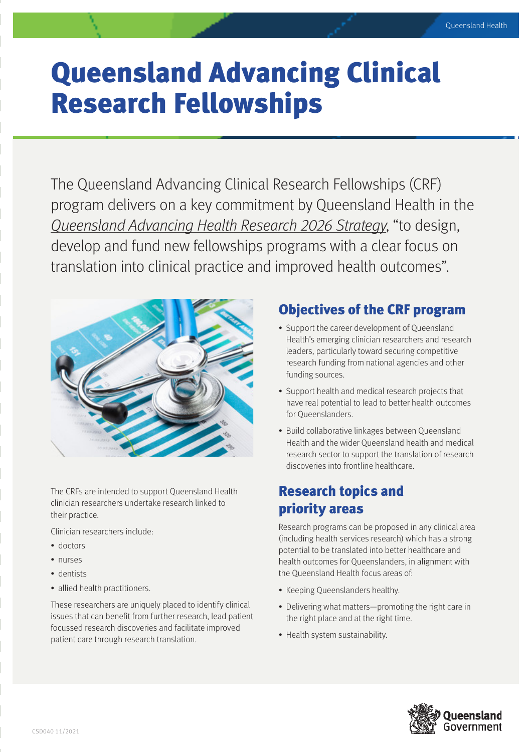# Queensland Advancing Clinical Research Fellowships

The Queensland Advancing Clinical Research Fellowships (CRF) program delivers on a key commitment by Queensland Health in the Queensland Advancing Health Research 2026 Strategy, "to design, develop and fund new fellowships programs with a clear focus on translation into clinical practice and improved health outcomes".



The CRFs are intended to support Queensland Health clinician researchers undertake research linked to their practice.

Clinician researchers include:

- doctors
- nurses
- dentists
- allied health practitioners.

These researchers are uniquely placed to identify clinical issues that can benefit from further research, lead patient focussed research discoveries and facilitate improved patient care through research translation.

#### Objectives of the CRF program

- Support the career development of Queensland Health's emerging clinician researchers and research leaders, particularly toward securing competitive research funding from national agencies and other funding sources.
- Support health and medical research projects that have real potential to lead to better health outcomes for Queenslanders.
- Build collaborative linkages between Queensland Health and the wider Queensland health and medical research sector to support the translation of research discoveries into frontline healthcare.

#### Research topics and priority areas

Research programs can be proposed in any clinical area (including health services research) which has a strong potential to be translated into better healthcare and health outcomes for Queenslanders, in alignment with the Queensland Health focus areas of:

- Keeping Queenslanders healthy.
- Delivering what matters—promoting the right care in the right place and at the right time.
- Health system sustainability.

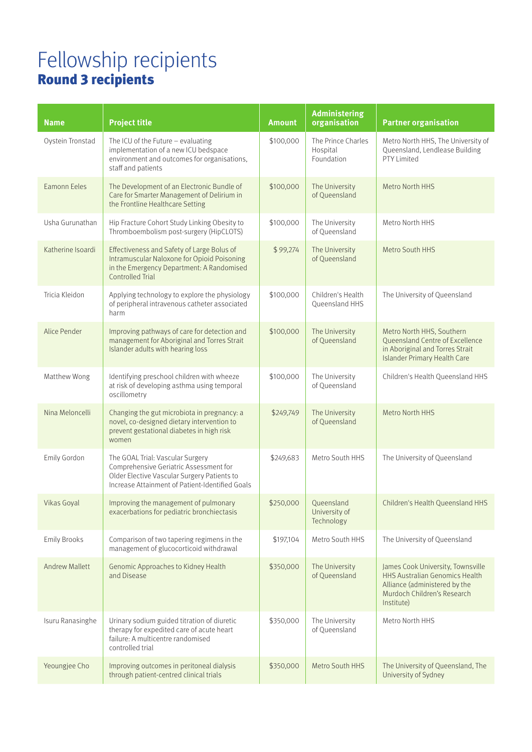## Fellowship recipients Round 3 recipients

| <b>Name</b>           | <b>Project title</b>                                                                                                                                                         | <b>Amount</b> | <b>Administering</b><br>organisation         | <b>Partner organisation</b>                                                                                                                              |
|-----------------------|------------------------------------------------------------------------------------------------------------------------------------------------------------------------------|---------------|----------------------------------------------|----------------------------------------------------------------------------------------------------------------------------------------------------------|
| Oystein Tronstad      | The ICU of the Future $-$ evaluating<br>implementation of a new ICU bedspace<br>environment and outcomes for organisations,<br>staff and patients                            | \$100,000     | The Prince Charles<br>Hospital<br>Foundation | Metro North HHS, The University of<br>Queensland, Lendlease Building<br>PTY Limited                                                                      |
| <b>Eamonn Eeles</b>   | The Development of an Electronic Bundle of<br>Care for Smarter Management of Delirium in<br>the Frontline Healthcare Setting                                                 | \$100,000     | The University<br>of Queensland              | Metro North HHS                                                                                                                                          |
| Usha Gurunathan       | Hip Fracture Cohort Study Linking Obesity to<br>Thromboembolism post-surgery (HipCLOTS)                                                                                      | \$100,000     | The University<br>of Queensland              | Metro North HHS                                                                                                                                          |
| Katherine Isoardi     | Effectiveness and Safety of Large Bolus of<br>Intramuscular Naloxone for Opioid Poisoning<br>in the Emergency Department: A Randomised<br><b>Controlled Trial</b>            | \$99,274      | The University<br>of Queensland              | Metro South HHS                                                                                                                                          |
| Tricia Kleidon        | Applying technology to explore the physiology<br>of peripheral intravenous catheter associated<br>harm                                                                       | \$100,000     | Children's Health<br>Oueensland HHS          | The University of Queensland                                                                                                                             |
| Alice Pender          | Improving pathways of care for detection and<br>management for Aboriginal and Torres Strait<br>Islander adults with hearing loss                                             | \$100,000     | The University<br>of Queensland              | Metro North HHS, Southern<br>Queensland Centre of Excellence<br>in Aboriginal and Torres Strait<br>Islander Primary Health Care                          |
| Matthew Wong          | Identifying preschool children with wheeze<br>at risk of developing asthma using temporal<br>oscillometry                                                                    | \$100,000     | The University<br>of Queensland              | Children's Health Queensland HHS                                                                                                                         |
| Nina Meloncelli       | Changing the gut microbiota in pregnancy: a<br>novel, co-designed dietary intervention to<br>prevent gestational diabetes in high risk<br>women                              | \$249,749     | The University<br>of Queensland              | Metro North HHS                                                                                                                                          |
| Emily Gordon          | The GOAL Trial: Vascular Surgery<br>Comprehensive Geriatric Assessment for<br>Older Elective Vascular Surgery Patients to<br>Increase Attainment of Patient-Identified Goals | \$249,683     | Metro South HHS                              | The University of Queensland                                                                                                                             |
| Vikas Goyal           | Improving the management of pulmonary<br>exacerbations for pediatric bronchiectasis                                                                                          | \$250,000     | Queensland<br>University of<br>Technology    | Children's Health Queensland HHS                                                                                                                         |
| <b>Emily Brooks</b>   | Comparison of two tapering regimens in the<br>management of glucocorticoid withdrawal                                                                                        | \$197,104     | Metro South HHS                              | The University of Queensland                                                                                                                             |
| <b>Andrew Mallett</b> | Genomic Approaches to Kidney Health<br>and Disease                                                                                                                           | \$350,000     | The University<br>of Queensland              | James Cook University, Townsville<br><b>HHS Australian Genomics Health</b><br>Alliance (administered by the<br>Murdoch Children's Research<br>Institute) |
| Isuru Ranasinghe      | Urinary sodium guided titration of diuretic<br>therapy for expedited care of acute heart<br>failure: A multicentre randomised<br>controlled trial                            | \$350,000     | The University<br>of Queensland              | Metro North HHS                                                                                                                                          |
| Yeoungjee Cho         | Improving outcomes in peritoneal dialysis<br>through patient-centred clinical trials                                                                                         | \$350,000     | Metro South HHS                              | The University of Queensland, The<br>University of Sydney                                                                                                |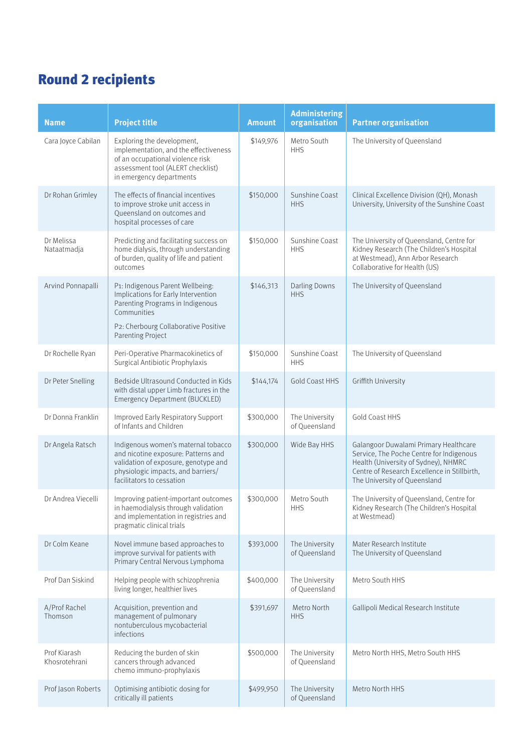### Round 2 recipients

| <b>Name</b>                   | <b>Project title</b>                                                                                                                                                                           | <b>Amount</b> | <b>Administering</b><br>organisation | <b>Partner organisation</b>                                                                                                                                                                               |
|-------------------------------|------------------------------------------------------------------------------------------------------------------------------------------------------------------------------------------------|---------------|--------------------------------------|-----------------------------------------------------------------------------------------------------------------------------------------------------------------------------------------------------------|
| Cara Joyce Cabilan            | Exploring the development,<br>implementation, and the effectiveness<br>of an occupational violence risk<br>assessment tool (ALERT checklist)<br>in emergency departments                       | \$149,976     | Metro South<br><b>HHS</b>            | The University of Queensland                                                                                                                                                                              |
| Dr Rohan Grimley              | The effects of financial incentives<br>to improve stroke unit access in<br>Queensland on outcomes and<br>hospital processes of care                                                            | \$150,000     | Sunshine Coast<br><b>HHS</b>         | Clinical Excellence Division (QH), Monash<br>University, University of the Sunshine Coast                                                                                                                 |
| Dr Melissa<br>Nataatmadja     | Predicting and facilitating success on<br>home dialysis, through understanding<br>of burden, quality of life and patient<br>outcomes                                                           | \$150,000     | Sunshine Coast<br><b>HHS</b>         | The University of Queensland, Centre for<br>Kidney Research (The Children's Hospital<br>at Westmead), Ann Arbor Research<br>Collaborative for Health (US)                                                 |
| Arvind Ponnapalli             | P1: Indigenous Parent Wellbeing:<br>Implications for Early Intervention<br>Parenting Programs in Indigenous<br>Communities<br>P2: Cherbourg Collaborative Positive<br><b>Parenting Project</b> | \$146,313     | <b>Darling Downs</b><br><b>HHS</b>   | The University of Queensland                                                                                                                                                                              |
| Dr Rochelle Ryan              | Peri-Operative Pharmacokinetics of<br>Surgical Antibiotic Prophylaxis                                                                                                                          | \$150,000     | Sunshine Coast<br><b>HHS</b>         | The University of Queensland                                                                                                                                                                              |
| Dr Peter Snelling             | Bedside Ultrasound Conducted in Kids<br>with distal upper Limb fractures in the<br>Emergency Department (BUCKLED)                                                                              | \$144,174     | <b>Gold Coast HHS</b>                | Griffith University                                                                                                                                                                                       |
| Dr Donna Franklin             | Improved Early Respiratory Support<br>of Infants and Children                                                                                                                                  | \$300,000     | The University<br>of Queensland      | Gold Coast HHS                                                                                                                                                                                            |
| Dr Angela Ratsch              | Indigenous women's maternal tobacco<br>and nicotine exposure: Patterns and<br>validation of exposure, genotype and<br>physiologic impacts, and barriers/<br>facilitators to cessation          | \$300,000     | Wide Bay HHS                         | Galangoor Duwalami Primary Healthcare<br>Service, The Poche Centre for Indigenous<br>Health (University of Sydney), NHMRC<br>Centre of Research Excellence in Stillbirth,<br>The University of Queensland |
| Dr Andrea Viecelli            | Improving patient-important outcomes<br>in haemodialysis through validation<br>and implementation in registries and<br>pragmatic clinical trials                                               | \$300,000     | Metro South<br><b>HHS</b>            | The University of Queensland, Centre for<br>Kidney Research (The Children's Hospital<br>at Westmead)                                                                                                      |
| Dr Colm Keane                 | Novel immune based approaches to<br>improve survival for patients with<br>Primary Central Nervous Lymphoma                                                                                     | \$393,000     | The University<br>of Queensland      | Mater Research Institute<br>The University of Queensland                                                                                                                                                  |
| Prof Dan Siskind              | Helping people with schizophrenia<br>living longer, healthier lives                                                                                                                            | \$400,000     | The University<br>of Queensland      | Metro South HHS                                                                                                                                                                                           |
| A/Prof Rachel<br>Thomson      | Acquisition, prevention and<br>management of pulmonary<br>nontuberculous mycobacterial<br>infections                                                                                           | \$391,697     | Metro North<br><b>HHS</b>            | Gallipoli Medical Research Institute                                                                                                                                                                      |
| Prof Kiarash<br>Khosrotehrani | Reducing the burden of skin<br>cancers through advanced<br>chemo immuno-prophylaxis                                                                                                            | \$500,000     | The University<br>of Queensland      | Metro North HHS, Metro South HHS                                                                                                                                                                          |
| Prof Jason Roberts            | Optimising antibiotic dosing for<br>critically ill patients                                                                                                                                    | \$499,950     | The University<br>of Queensland      | Metro North HHS                                                                                                                                                                                           |